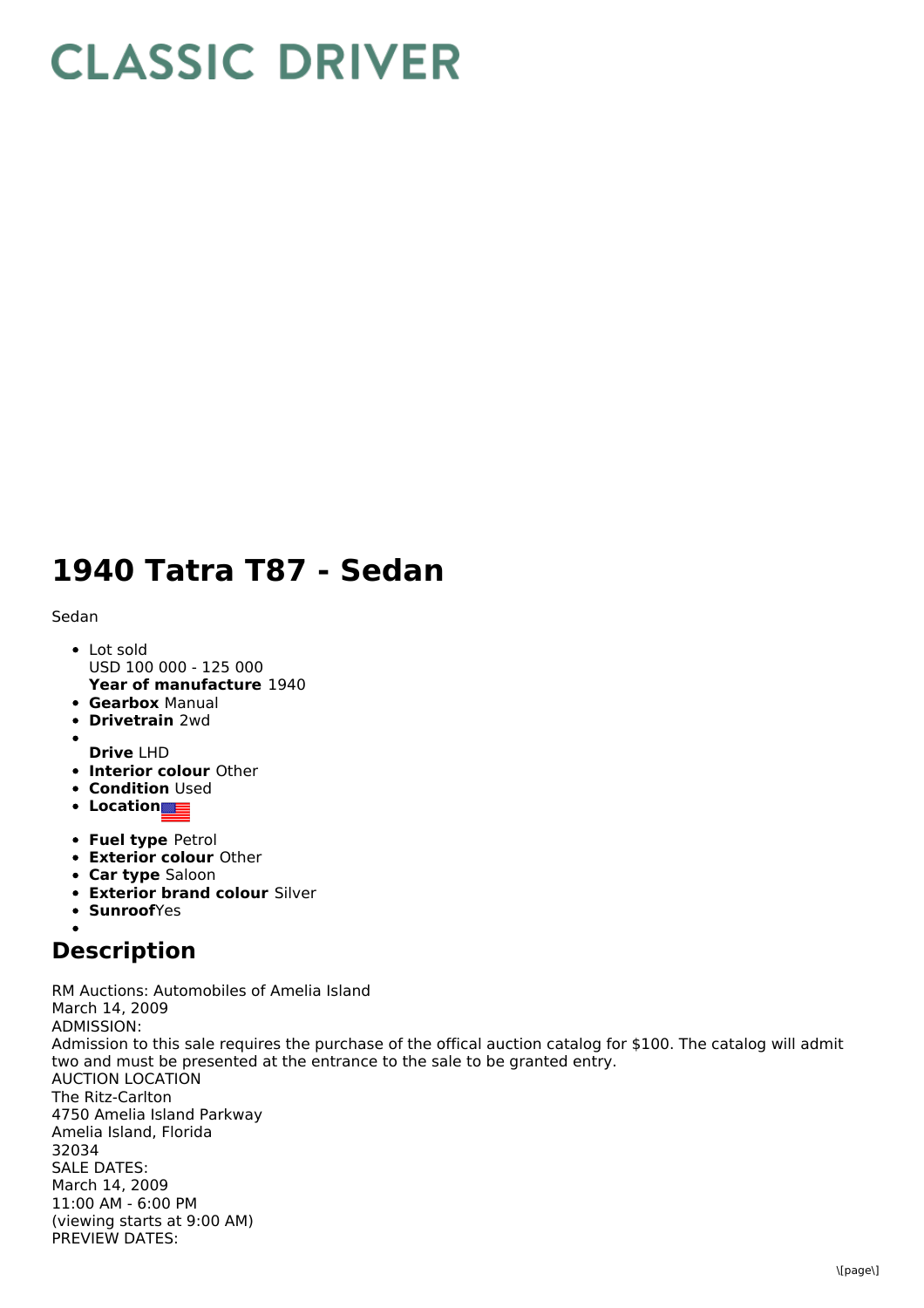## **CLASSIC DRIVER**

## **1940 Tatra T87 - Sedan**

## Sedan

- **Year of manufacture** 1940 • Lot sold USD 100 000 - 125 000
- **Gearbox** Manual
- **Drivetrain** 2wd
- **Drive** LHD
- **Interior colour** Other
- **Condition Used**
- **Location**
- **Fuel type** Petrol
- **Exterior colour** Other
- **Car type** Saloon
- **Exterior brand colour** Silver
- **SunroofYes**

## **Description**

RM Auctions: Automobiles of Amelia Island March 14, 2009 ADMISSION: Admission to this sale requires the purchase of the offical auction catalog for \$100. The catalog will admit two and must be presented at the entrance to the sale to be granted entry. AUCTION LOCATION The Ritz-Carlton 4750 Amelia Island Parkway Amelia Island, Florida 32034 SALE DATES: March 14, 2009 11:00 AM - 6:00 PM (viewing starts at 9:00 AM) PREVIEW DATES: